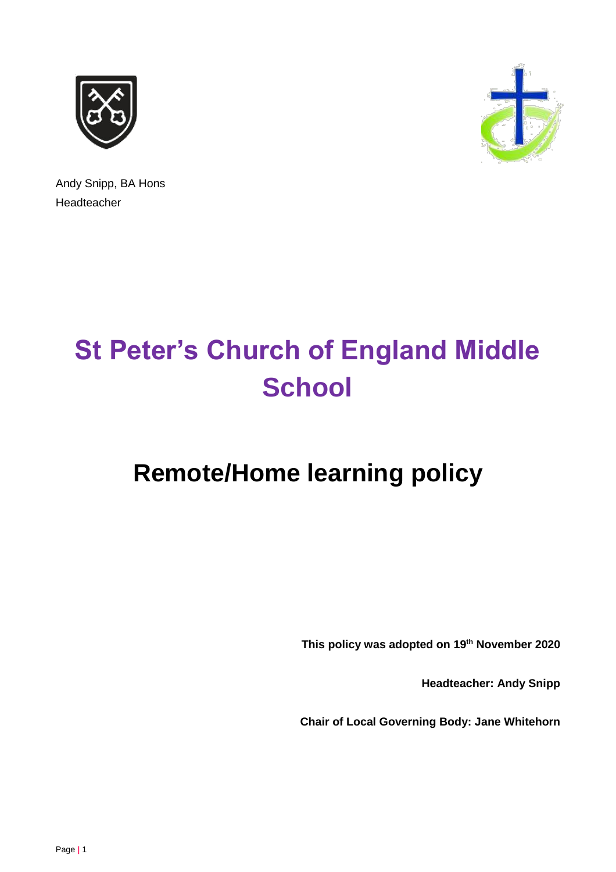



Andy Snipp, BA Hons Headteacher

# **St Peter's Church of England Middle School**

# **Remote/Home learning policy**

**This policy was adopted on 19th November 2020**

**Headteacher: Andy Snipp**

**Chair of Local Governing Body: Jane Whitehorn**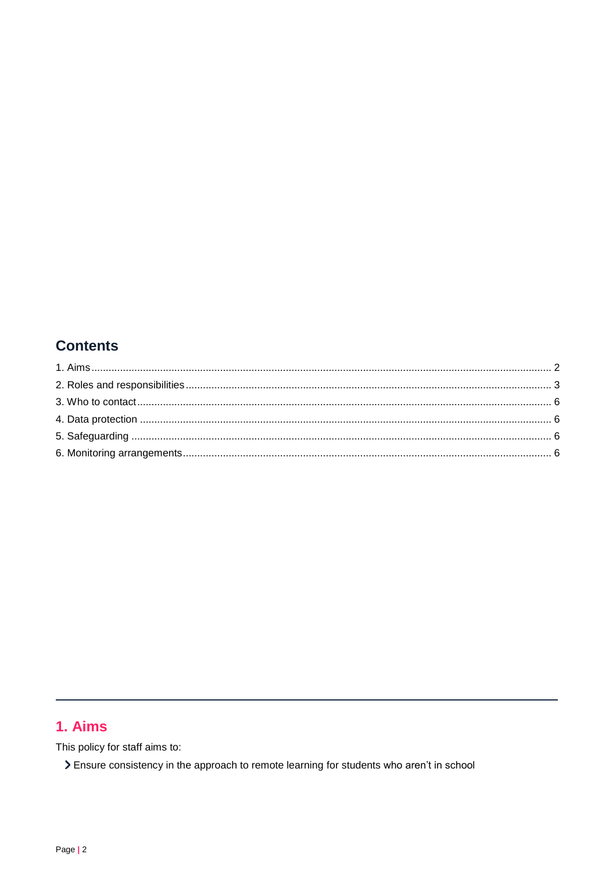# **Contents**

# <span id="page-1-0"></span>1. Aims

This policy for staff aims to:

> Ensure consistency in the approach to remote learning for students who aren't in school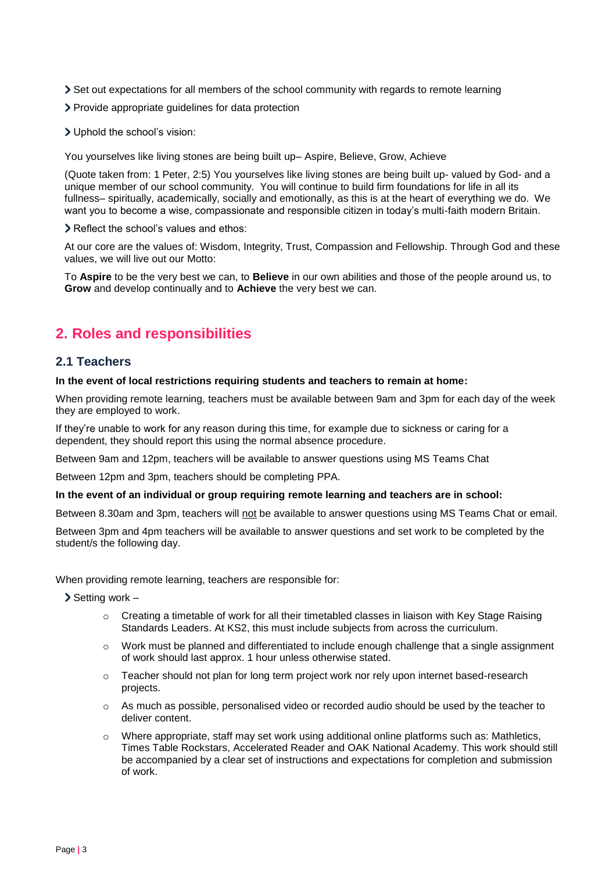- Set out expectations for all members of the school community with regards to remote learning
- Provide appropriate guidelines for data protection
- Uphold the school's vision:

You yourselves like living stones are being built up– Aspire, Believe, Grow, Achieve

(Quote taken from: 1 Peter, 2:5) You yourselves like living stones are being built up- valued by God- and a unique member of our school community. You will continue to build firm foundations for life in all its fullness– spiritually, academically, socially and emotionally, as this is at the heart of everything we do. We want you to become a wise, compassionate and responsible citizen in today's multi-faith modern Britain.

> Reflect the school's values and ethos:

At our core are the values of: Wisdom, Integrity, Trust, Compassion and Fellowship. Through God and these values, we will live out our Motto:

To **Aspire** to be the very best we can, to **Believe** in our own abilities and those of the people around us, to **Grow** and develop continually and to **Achieve** the very best we can.

# <span id="page-2-0"></span>**2. Roles and responsibilities**

#### **2.1 Teachers**

#### **In the event of local restrictions requiring students and teachers to remain at home:**

When providing remote learning, teachers must be available between 9am and 3pm for each day of the week they are employed to work.

If they're unable to work for any reason during this time, for example due to sickness or caring for a dependent, they should report this using the normal absence procedure.

Between 9am and 12pm, teachers will be available to answer questions using MS Teams Chat

Between 12pm and 3pm, teachers should be completing PPA.

#### **In the event of an individual or group requiring remote learning and teachers are in school:**

Between 8.30am and 3pm, teachers will not be available to answer questions using MS Teams Chat or email.

Between 3pm and 4pm teachers will be available to answer questions and set work to be completed by the student/s the following day.

When providing remote learning, teachers are responsible for:

 $\sum$  Setting work –

- $\circ$  Creating a timetable of work for all their timetabled classes in liaison with Key Stage Raising Standards Leaders. At KS2, this must include subjects from across the curriculum.
- $\circ$  Work must be planned and differentiated to include enough challenge that a single assignment of work should last approx. 1 hour unless otherwise stated.
- $\circ$  Teacher should not plan for long term project work nor rely upon internet based-research projects.
- o As much as possible, personalised video or recorded audio should be used by the teacher to deliver content.
- $\circ$  Where appropriate, staff may set work using additional online platforms such as: Mathletics, Times Table Rockstars, Accelerated Reader and OAK National Academy. This work should still be accompanied by a clear set of instructions and expectations for completion and submission of work.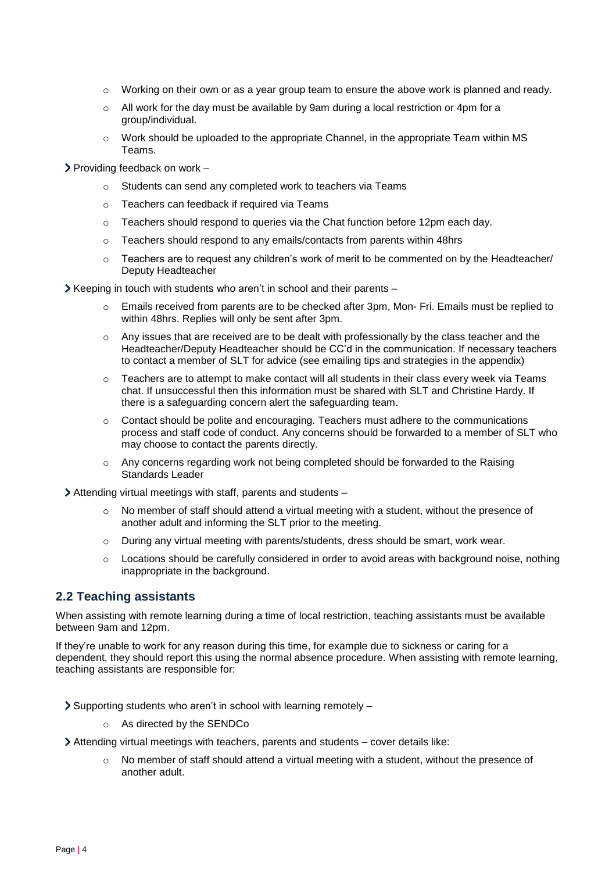- $\circ$  Working on their own or as a year group team to ensure the above work is planned and ready.
- $\circ$  All work for the day must be available by 9am during a local restriction or 4pm for a group/individual.
- $\circ$  Work should be uploaded to the appropriate Channel, in the appropriate Team within MS Teams.

 $\triangleright$  Providing feedback on work –

- o Students can send any completed work to teachers via Teams
- o Teachers can feedback if required via Teams
- $\circ$  Teachers should respond to queries via the Chat function before 12pm each day.
- o Teachers should respond to any emails/contacts from parents within 48hrs
- $\circ$  Teachers are to request any children's work of merit to be commented on by the Headteacher/ Deputy Headteacher
- $\triangleright$  Keeping in touch with students who aren't in school and their parents
	- Emails received from parents are to be checked after 3pm, Mon- Fri. Emails must be replied to within 48hrs. Replies will only be sent after 3pm.
	- $\circ$  Any issues that are received are to be dealt with professionally by the class teacher and the Headteacher/Deputy Headteacher should be CC'd in the communication. If necessary teachers to contact a member of SLT for advice (see emailing tips and strategies in the appendix)
	- $\circ$  Teachers are to attempt to make contact will all students in their class every week via Teams chat. If unsuccessful then this information must be shared with SLT and Christine Hardy. If there is a safeguarding concern alert the safeguarding team.
	- $\circ$  Contact should be polite and encouraging. Teachers must adhere to the communications process and staff code of conduct. Any concerns should be forwarded to a member of SLT who may choose to contact the parents directly.
	- $\circ$  Any concerns regarding work not being completed should be forwarded to the Raising Standards Leader

Attending virtual meetings with staff, parents and students –

- $\circ$  No member of staff should attend a virtual meeting with a student, without the presence of another adult and informing the SLT prior to the meeting.
- $\circ$  During any virtual meeting with parents/students, dress should be smart, work wear.
- $\circ$  Locations should be carefully considered in order to avoid areas with background noise, nothing inappropriate in the background.

#### **2.2 Teaching assistants**

When assisting with remote learning during a time of local restriction, teaching assistants must be available between 9am and 12pm.

If they're unable to work for any reason during this time, for example due to sickness or caring for a dependent, they should report this using the normal absence procedure. When assisting with remote learning, teaching assistants are responsible for:

Supporting students who aren't in school with learning remotely –

o As directed by the SENDCo

Attending virtual meetings with teachers, parents and students – cover details like:

 $\circ$  No member of staff should attend a virtual meeting with a student, without the presence of another adult.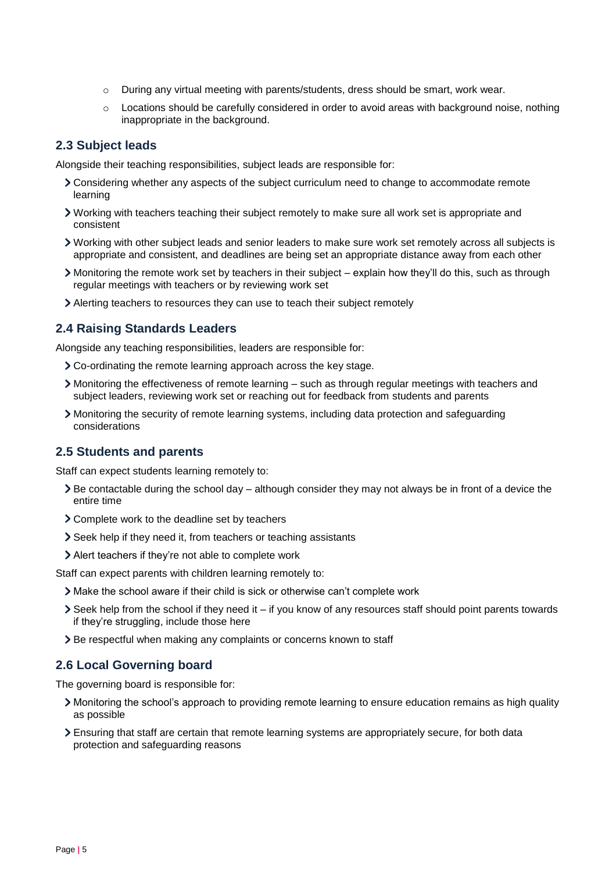- $\circ$  During any virtual meeting with parents/students, dress should be smart, work wear.
- $\circ$  Locations should be carefully considered in order to avoid areas with background noise, nothing inappropriate in the background.

#### **2.3 Subject leads**

Alongside their teaching responsibilities, subject leads are responsible for:

- Considering whether any aspects of the subject curriculum need to change to accommodate remote learning
- Working with teachers teaching their subject remotely to make sure all work set is appropriate and consistent
- Working with other subject leads and senior leaders to make sure work set remotely across all subjects is appropriate and consistent, and deadlines are being set an appropriate distance away from each other
- Monitoring the remote work set by teachers in their subject explain how they'll do this, such as through regular meetings with teachers or by reviewing work set
- Alerting teachers to resources they can use to teach their subject remotely

#### **2.4 Raising Standards Leaders**

Alongside any teaching responsibilities, leaders are responsible for:

- Co-ordinating the remote learning approach across the key stage.
- Monitoring the effectiveness of remote learning such as through regular meetings with teachers and subject leaders, reviewing work set or reaching out for feedback from students and parents
- Monitoring the security of remote learning systems, including data protection and safeguarding considerations

#### **2.5 Students and parents**

Staff can expect students learning remotely to:

- $\triangleright$  Be contactable during the school day although consider they may not always be in front of a device the entire time
- Complete work to the deadline set by teachers
- Seek help if they need it, from teachers or teaching assistants
- Alert teachers if they're not able to complete work

Staff can expect parents with children learning remotely to:

- Make the school aware if their child is sick or otherwise can't complete work
- $\geq$  Seek help from the school if they need it if you know of any resources staff should point parents towards if they're struggling, include those here
- > Be respectful when making any complaints or concerns known to staff

#### **2.6 Local Governing board**

The governing board is responsible for:

- Monitoring the school's approach to providing remote learning to ensure education remains as high quality as possible
- Ensuring that staff are certain that remote learning systems are appropriately secure, for both data protection and safeguarding reasons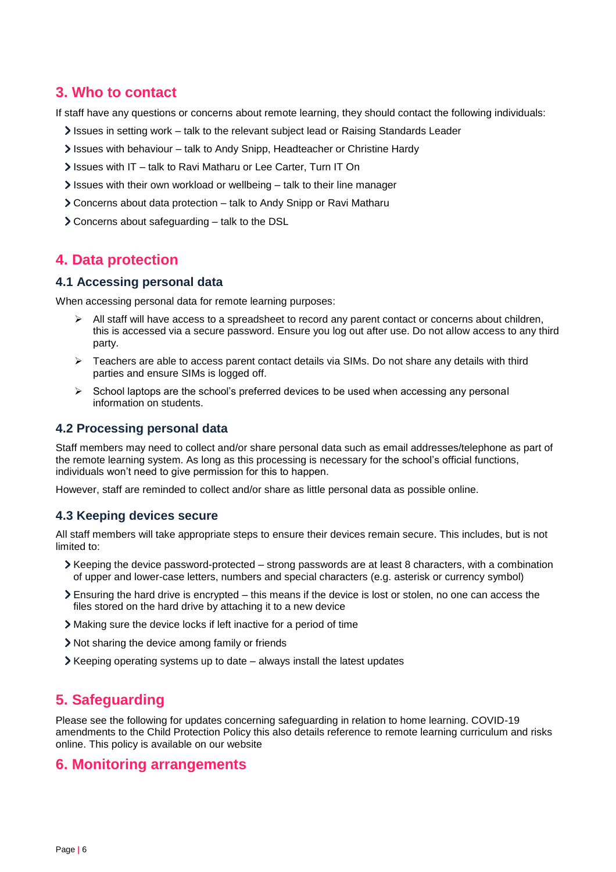# <span id="page-5-0"></span>**3. Who to contact**

If staff have any questions or concerns about remote learning, they should contact the following individuals:

- Issues in setting work talk to the relevant subject lead or Raising Standards Leader
- Issues with behaviour talk to Andy Snipp, Headteacher or Christine Hardy
- If Issues with IT talk to Ravi Matharu or Lee Carter, Turn IT On
- Issues with their own workload or wellbeing talk to their line manager
- Concerns about data protection talk to Andy Snipp or Ravi Matharu
- Concerns about safeguarding talk to the DSL

## <span id="page-5-1"></span>**4. Data protection**

#### **4.1 Accessing personal data**

When accessing personal data for remote learning purposes:

- $\triangleright$  All staff will have access to a spreadsheet to record any parent contact or concerns about children, this is accessed via a secure password. Ensure you log out after use. Do not allow access to any third party.
- ➢ Teachers are able to access parent contact details via SIMs. Do not share any details with third parties and ensure SIMs is logged off.
- ➢ School laptops are the school's preferred devices to be used when accessing any personal information on students.

#### **4.2 Processing personal data**

Staff members may need to collect and/or share personal data such as email addresses/telephone as part of the remote learning system. As long as this processing is necessary for the school's official functions, individuals won't need to give permission for this to happen.

However, staff are reminded to collect and/or share as little personal data as possible online.

#### **4.3 Keeping devices secure**

All staff members will take appropriate steps to ensure their devices remain secure. This includes, but is not limited to:

- $\triangleright$  Keeping the device password-protected strong passwords are at least 8 characters, with a combination of upper and lower-case letters, numbers and special characters (e.g. asterisk or currency symbol)
- Ensuring the hard drive is encrypted this means if the device is lost or stolen, no one can access the files stored on the hard drive by attaching it to a new device
- Making sure the device locks if left inactive for a period of time
- Not sharing the device among family or friends
- Keeping operating systems up to date always install the latest updates

### <span id="page-5-2"></span>**5. Safeguarding**

Please see the following for updates concerning safeguarding in relation to home learning. COVID-19 amendments to the Child Protection Policy this also details reference to remote learning curriculum and risks online. This policy is available on our website

#### <span id="page-5-3"></span>**6. Monitoring arrangements**